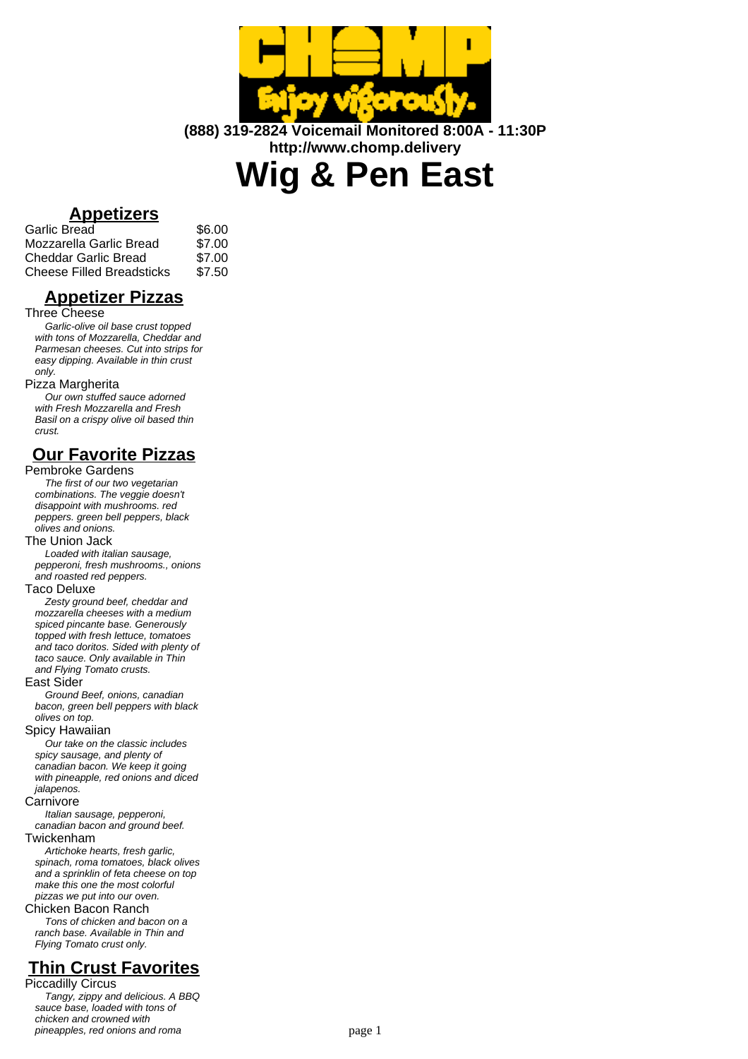

**(888) 319-2824 Voicemail Monitored 8:00A - 11:30P http://www.chomp.delivery**

**Wig & Pen East**

## **Appetizers**

| Garlic Bread              | \$6.00 |
|---------------------------|--------|
| Mozzarella Garlic Bread   | \$7.00 |
| Cheddar Garlic Bread      | \$7.00 |
| Cheese Filled Breadsticks | \$7.50 |

## **Appetizer Pizzas**

### Three Cheese

Garlic-olive oil base crust topped with tons of Mozzarella, Cheddar and Parmesan cheeses. Cut into strips for easy dipping. Available in thin crust only.

## Pizza Margherita

Our own stuffed sauce adorned with Fresh Mozzarella and Fresh Basil on a crispy olive oil based thin crust.

## **Our Favorite Pizzas**

## Pembroke Gardens

The first of our two vegetarian combinations. The veggie doesn't disappoint with mushrooms. red peppers. green bell peppers, black olives and onions.

## The Union Jack

Loaded with italian sausage, pepperoni, fresh mushrooms., onions and roasted red peppers.

## Taco Deluxe

Zesty ground beef, cheddar and mozzarella cheeses with a medium spiced pincante base. Generously topped with fresh lettuce, tomatoes and taco doritos. Sided with plenty of taco sauce. Only available in Thin and Flying Tomato crusts.

## East Sider

Ground Beef, onions, canadian bacon, green bell peppers with black olives on top.

## Spicy Hawaiian

Our take on the classic includes spicy sausage, and plenty of canadian bacon. We keep it going with pineapple, red onions and diced jalapenos.

#### **Carnivore**

Italian sausage, pepperoni, canadian bacon and ground beef.

Twickenham

Artichoke hearts, fresh garlic, spinach, roma tomatoes, black olives and a sprinklin of feta cheese on top make this one the most colorful pizzas we put into our oven.

## Chicken Bacon Ranch

Tons of chicken and bacon on a ranch base. Available in Thin and Flying Tomato crust only.

# **Thin Crust Favorites**

Piccadilly Circus Tangy, zippy and delicious. A BBQ sauce base, loaded with tons of chicken and crowned with pineapples, red onions and roma page 1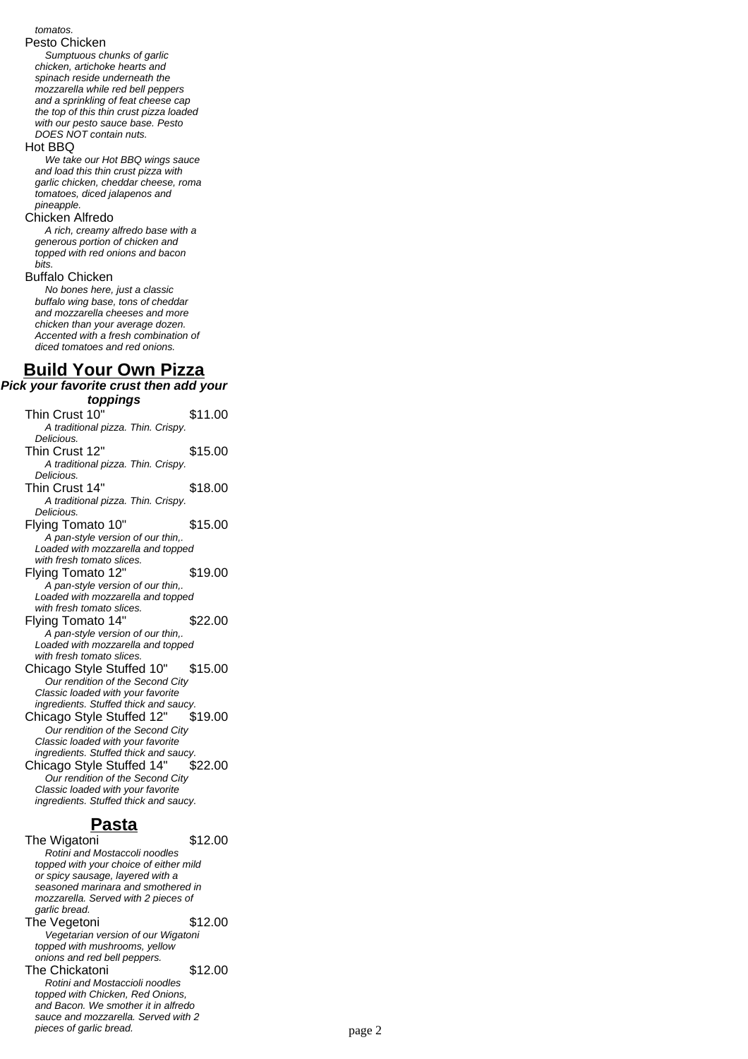#### tomatos.

#### Pesto Chicken

Sumptuous chunks of garlic chicken, artichoke hearts and spinach reside underneath the mozzarella while red bell peppers and a sprinkling of feat cheese cap the top of this thin crust pizza loaded with our pesto sauce base. Pesto DOES NOT contain nuts.

#### Hot BBQ

We take our Hot BBQ wings sauce and load this thin crust pizza with garlic chicken, cheddar cheese, roma tomatoes, diced jalapenos and pineapple.

#### Chicken Alfredo

A rich, creamy alfredo base with a generous portion of chicken and topped with red onions and bacon bits.

### Buffalo Chicken

No bones here, just a classic buffalo wing base, tons of cheddar and mozzarella cheeses and more chicken than your average dozen. Accented with a fresh combination of diced tomatoes and red onions.

## **Build Your Own Pizza**

### **Pick your favorite crust then add your toppings**

Thin Crust 10" \$11.00 A traditional pizza. Thin. Crispy. Delicious. Thin Crust 12" \$15.00 A traditional pizza. Thin. Crispy. Delicious. Thin Crust 14" \$18.00 A traditional pizza. Thin. Crispy. Delicious. Flying Tomato 10" \$15.00 A pan-style version of our thin,. Loaded with mozzarella and topped with fresh tomato slices. Flying Tomato 12" \$19.00 A pan-style version of our thin,. Loaded with mozzarella and topped with fresh tomato slices. Flying Tomato 14" \$22.00 A pan-style version of our thin,. Loaded with mozzarella and topped with fresh tomato slices. Chicago Style Stuffed 10" \$15.00 Our rendition of the Second City Classic loaded with your favorite ingredients. Stuffed thick and saucy. Chicago Style Stuffed 12" \$19.00 Our rendition of the Second City Classic loaded with your favorite ingredients. Stuffed thick and saucy. Chicago Style Stuffed 14" \$22.00 Our rendition of the Second City Classic loaded with your favorite ingredients. Stuffed thick and saucy.

## **Pasta**

The Wigatoni **\$12.00** Rotini and Mostaccoli noodles topped with your choice of either mild or spicy sausage, layered with a seasoned marinara and smothered in mozzarella. Served with 2 pieces of garlic bread. The Vegetoni \$12.00 Vegetarian version of our Wigatoni topped with mushrooms, yellow onions and red bell peppers. The Chickatoni **\$12.00** Rotini and Mostaccioli noodles topped with Chicken, Red Onions, and Bacon. We smother it in alfredo

sauce and mozzarella. Served with 2